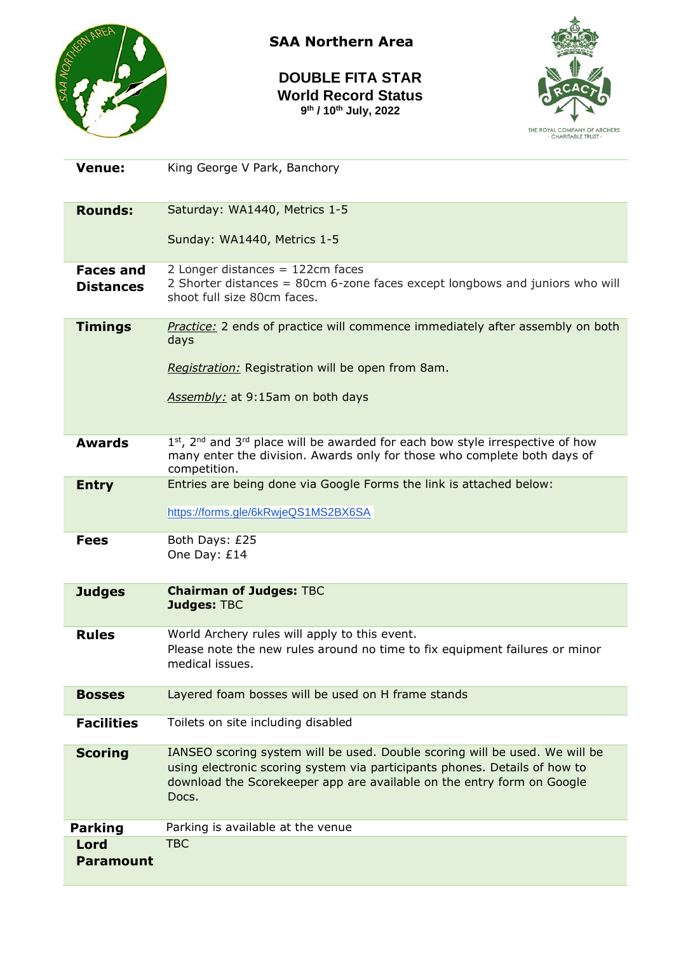

**SAA Northern Area**

**DOUBLE FITA STAR World Record Status 9 th / 10th July, 2022**



| <b>Venue:</b>                        | King George V Park, Banchory                                                                                                                                                                                                                 |
|--------------------------------------|----------------------------------------------------------------------------------------------------------------------------------------------------------------------------------------------------------------------------------------------|
| <b>Rounds:</b>                       | Saturday: WA1440, Metrics 1-5                                                                                                                                                                                                                |
|                                      | Sunday: WA1440, Metrics 1-5                                                                                                                                                                                                                  |
| <b>Faces and</b><br><b>Distances</b> | 2 Longer distances $= 122$ cm faces<br>2 Shorter distances = 80cm 6-zone faces except longbows and juniors who will<br>shoot full size 80cm faces.                                                                                           |
| <b>Timings</b>                       | Practice: 2 ends of practice will commence immediately after assembly on both<br>days<br>Registration: Registration will be open from 8am.<br>Assembly: at 9:15am on both days                                                               |
| <b>Awards</b>                        | $1st$ , 2 <sup>nd</sup> and 3 <sup>rd</sup> place will be awarded for each bow style irrespective of how<br>many enter the division. Awards only for those who complete both days of<br>competition.                                         |
| <b>Entry</b>                         | Entries are being done via Google Forms the link is attached below:                                                                                                                                                                          |
|                                      | https://forms.gle/6kRwjeQS1MS2BX6SA                                                                                                                                                                                                          |
| <b>Fees</b>                          | Both Days: £25<br>One Day: £14                                                                                                                                                                                                               |
| <b>Judges</b>                        | <b>Chairman of Judges: TBC</b><br><b>Judges: TBC</b>                                                                                                                                                                                         |
| <b>Rules</b>                         | World Archery rules will apply to this event.<br>Please note the new rules around no time to fix equipment failures or minor<br>medical issues.                                                                                              |
| <b>Bosses</b>                        | Layered foam bosses will be used on H frame stands                                                                                                                                                                                           |
| <b>Facilities</b>                    | Toilets on site including disabled                                                                                                                                                                                                           |
| <b>Scoring</b>                       | IANSEO scoring system will be used. Double scoring will be used. We will be<br>using electronic scoring system via participants phones. Details of how to<br>download the Scorekeeper app are available on the entry form on Google<br>Docs. |
| <b>Parking</b>                       | Parking is available at the venue                                                                                                                                                                                                            |
| Lord<br><b>Paramount</b>             | <b>TBC</b>                                                                                                                                                                                                                                   |